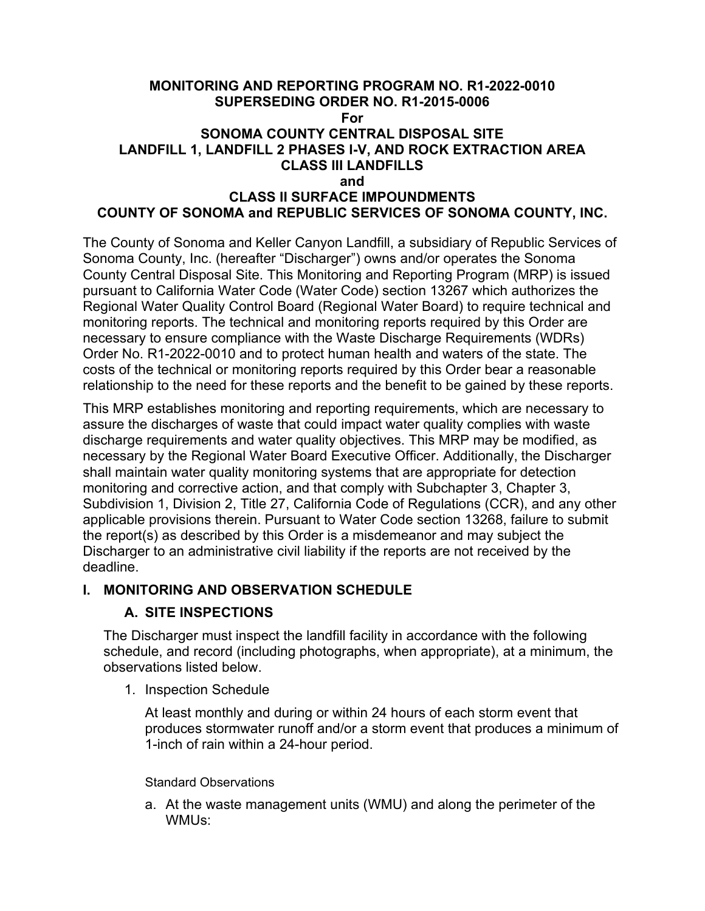#### **MONITORING AND REPORTING PROGRAM NO. R1-2022-0010 SUPERSEDING ORDER NO. R1-2015-0006 For SONOMA COUNTY CENTRAL DISPOSAL SITE LANDFILL 1, LANDFILL 2 PHASES I-V, AND ROCK EXTRACTION AREA CLASS III LANDFILLS and**

# **CLASS II SURFACE IMPOUNDMENTS COUNTY OF SONOMA and REPUBLIC SERVICES OF SONOMA COUNTY, INC.**

The County of Sonoma and Keller Canyon Landfill, a subsidiary of Republic Services of Sonoma County, Inc. (hereafter "Discharger") owns and/or operates the Sonoma County Central Disposal Site. This Monitoring and Reporting Program (MRP) is issued pursuant to California Water Code (Water Code) section 13267 which authorizes the Regional Water Quality Control Board (Regional Water Board) to require technical and monitoring reports. The technical and monitoring reports required by this Order are necessary to ensure compliance with the Waste Discharge Requirements (WDRs) Order No. R1-2022-0010 and to protect human health and waters of the state. The costs of the technical or monitoring reports required by this Order bear a reasonable relationship to the need for these reports and the benefit to be gained by these reports.

This MRP establishes monitoring and reporting requirements, which are necessary to assure the discharges of waste that could impact water quality complies with waste discharge requirements and water quality objectives. This MRP may be modified, as necessary by the Regional Water Board Executive Officer. Additionally, the Discharger shall maintain water quality monitoring systems that are appropriate for detection monitoring and corrective action, and that comply with Subchapter 3, Chapter 3, Subdivision 1, Division 2, Title 27, California Code of Regulations (CCR), and any other applicable provisions therein. Pursuant to Water Code section 13268, failure to submit the report(s) as described by this Order is a misdemeanor and may subject the Discharger to an administrative civil liability if the reports are not received by the deadline.

#### **I. MONITORING AND OBSERVATION SCHEDULE**

### **A. SITE INSPECTIONS**

The Discharger must inspect the landfill facility in accordance with the following schedule, and record (including photographs, when appropriate), at a minimum, the observations listed below.

1. Inspection Schedule

At least monthly and during or within 24 hours of each storm event that produces stormwater runoff and/or a storm event that produces a minimum of 1-inch of rain within a 24-hour period.

#### Standard Observations

a. At the waste management units (WMU) and along the perimeter of the WMUs: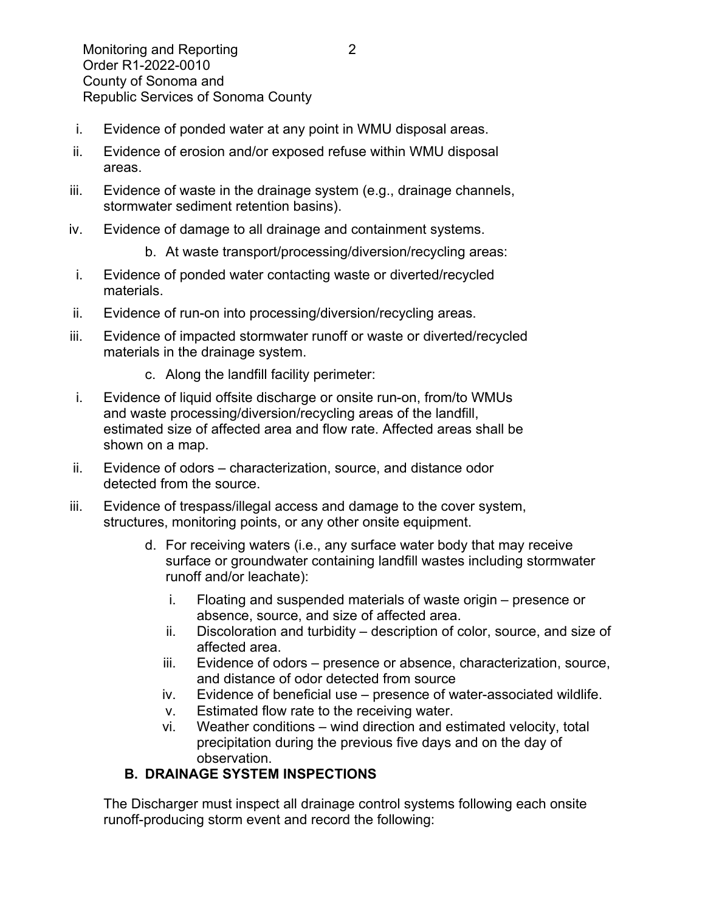- i. Evidence of ponded water at any point in WMU disposal areas.
- ii. Evidence of erosion and/or exposed refuse within WMU disposal areas.
- iii. Evidence of waste in the drainage system (e.g., drainage channels, stormwater sediment retention basins).
- iv. Evidence of damage to all drainage and containment systems.
	- b. At waste transport/processing/diversion/recycling areas:
- i. Evidence of ponded water contacting waste or diverted/recycled materials.
- ii. Evidence of run-on into processing/diversion/recycling areas.
- iii. Evidence of impacted stormwater runoff or waste or diverted/recycled materials in the drainage system.
	- c. Along the landfill facility perimeter:
- i. Evidence of liquid offsite discharge or onsite run-on, from/to WMUs and waste processing/diversion/recycling areas of the landfill, estimated size of affected area and flow rate. Affected areas shall be shown on a map.
- ii. Evidence of odors characterization, source, and distance odor detected from the source.
- iii. Evidence of trespass/illegal access and damage to the cover system, structures, monitoring points, or any other onsite equipment.
	- d. For receiving waters (i.e., any surface water body that may receive surface or groundwater containing landfill wastes including stormwater runoff and/or leachate):
		- i. Floating and suspended materials of waste origin presence or absence, source, and size of affected area.
		- ii. Discoloration and turbidity description of color, source, and size of affected area.
		- iii. Evidence of odors presence or absence, characterization, source, and distance of odor detected from source
		- iv. Evidence of beneficial use presence of water-associated wildlife.
		- v. Estimated flow rate to the receiving water.
		- vi. Weather conditions wind direction and estimated velocity, total precipitation during the previous five days and on the day of observation.

### **B. DRAINAGE SYSTEM INSPECTIONS**

The Discharger must inspect all drainage control systems following each onsite runoff-producing storm event and record the following: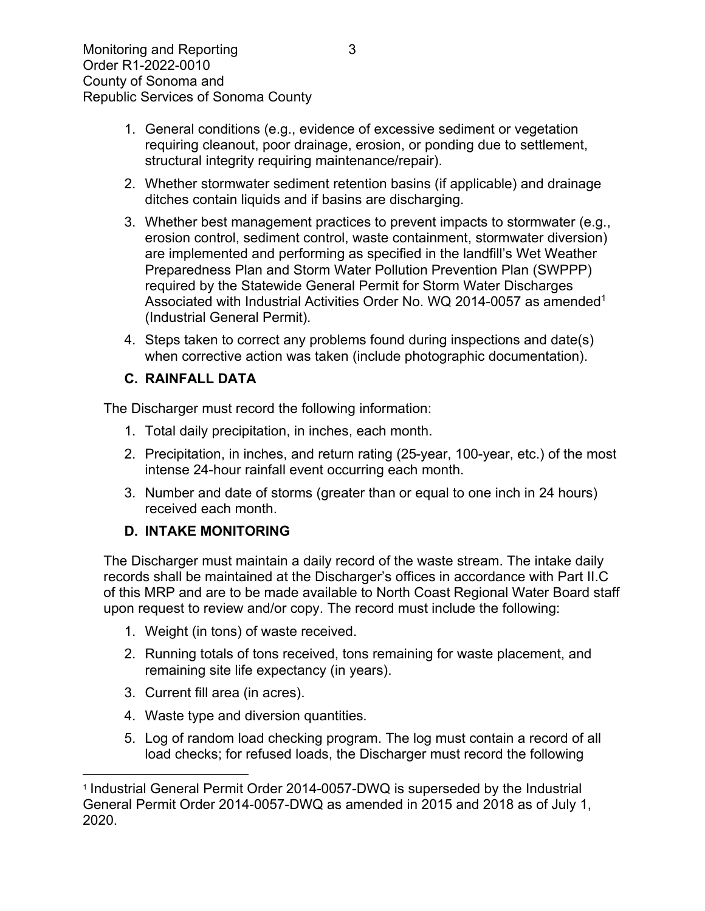- 1. General conditions (e.g., evidence of excessive sediment or vegetation requiring cleanout, poor drainage, erosion, or ponding due to settlement, structural integrity requiring maintenance/repair).
- 2. Whether stormwater sediment retention basins (if applicable) and drainage ditches contain liquids and if basins are discharging.
- 3. Whether best management practices to prevent impacts to stormwater (e.g., erosion control, sediment control, waste containment, stormwater diversion) are implemented and performing as specified in the landfill's Wet Weather Preparedness Plan and Storm Water Pollution Prevention Plan (SWPPP) required by the Statewide General Permit for Storm Water Discharges Associated with Industrial Activities Order No. WQ 20[1](#page-2-0)4-0057 as amended<sup>1</sup> (Industrial General Permit).
- 4. Steps taken to correct any problems found during inspections and date(s) when corrective action was taken (include photographic documentation).

# **C. RAINFALL DATA**

The Discharger must record the following information:

- 1. Total daily precipitation, in inches, each month.
- 2. Precipitation, in inches, and return rating (25-year, 100-year, etc.) of the most intense 24-hour rainfall event occurring each month.
- 3. Number and date of storms (greater than or equal to one inch in 24 hours) received each month.

# **D. INTAKE MONITORING**

The Discharger must maintain a daily record of the waste stream. The intake daily records shall be maintained at the Discharger's offices in accordance with Part II.C of this MRP and are to be made available to North Coast Regional Water Board staff upon request to review and/or copy. The record must include the following:

- 1. Weight (in tons) of waste received.
- 2. Running totals of tons received, tons remaining for waste placement, and remaining site life expectancy (in years).
- 3. Current fill area (in acres).
- 4. Waste type and diversion quantities.
- 5. Log of random load checking program. The log must contain a record of all load checks; for refused loads, the Discharger must record the following

<span id="page-2-0"></span><sup>1</sup> Industrial General Permit Order 2014-0057-DWQ is superseded by the Industrial General Permit Order 2014-0057-DWQ as amended in 2015 and 2018 as of July 1, 2020.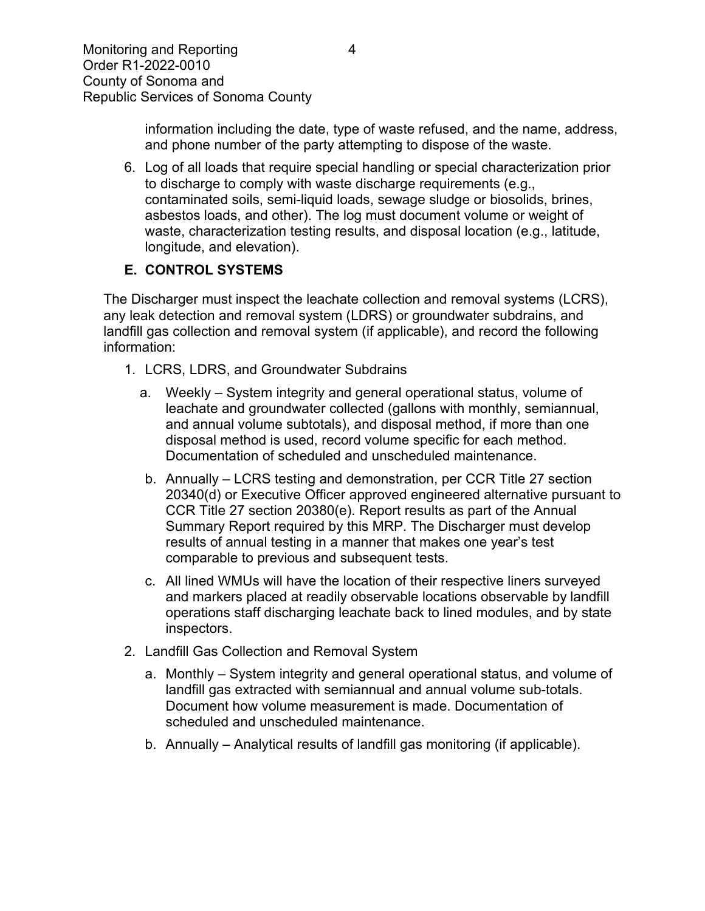information including the date, type of waste refused, and the name, address, and phone number of the party attempting to dispose of the waste.

6. Log of all loads that require special handling or special characterization prior to discharge to comply with waste discharge requirements (e.g., contaminated soils, semi-liquid loads, sewage sludge or biosolids, brines, asbestos loads, and other). The log must document volume or weight of waste, characterization testing results, and disposal location (e.g., latitude, longitude, and elevation).

# **E. CONTROL SYSTEMS**

The Discharger must inspect the leachate collection and removal systems (LCRS), any leak detection and removal system (LDRS) or groundwater subdrains, and landfill gas collection and removal system (if applicable), and record the following information:

- 1. LCRS, LDRS, and Groundwater Subdrains
	- a. Weekly System integrity and general operational status, volume of leachate and groundwater collected (gallons with monthly, semiannual, and annual volume subtotals), and disposal method, if more than one disposal method is used, record volume specific for each method. Documentation of scheduled and unscheduled maintenance.
	- b. Annually LCRS testing and demonstration, per CCR Title 27 section 20340(d) or Executive Officer approved engineered alternative pursuant to CCR Title 27 section 20380(e). Report results as part of the Annual Summary Report required by this MRP. The Discharger must develop results of annual testing in a manner that makes one year's test comparable to previous and subsequent tests.
	- c. All lined WMUs will have the location of their respective liners surveyed and markers placed at readily observable locations observable by landfill operations staff discharging leachate back to lined modules, and by state inspectors.
- 2. Landfill Gas Collection and Removal System
	- a. Monthly System integrity and general operational status, and volume of landfill gas extracted with semiannual and annual volume sub-totals. Document how volume measurement is made. Documentation of scheduled and unscheduled maintenance.
	- b. Annually Analytical results of landfill gas monitoring (if applicable).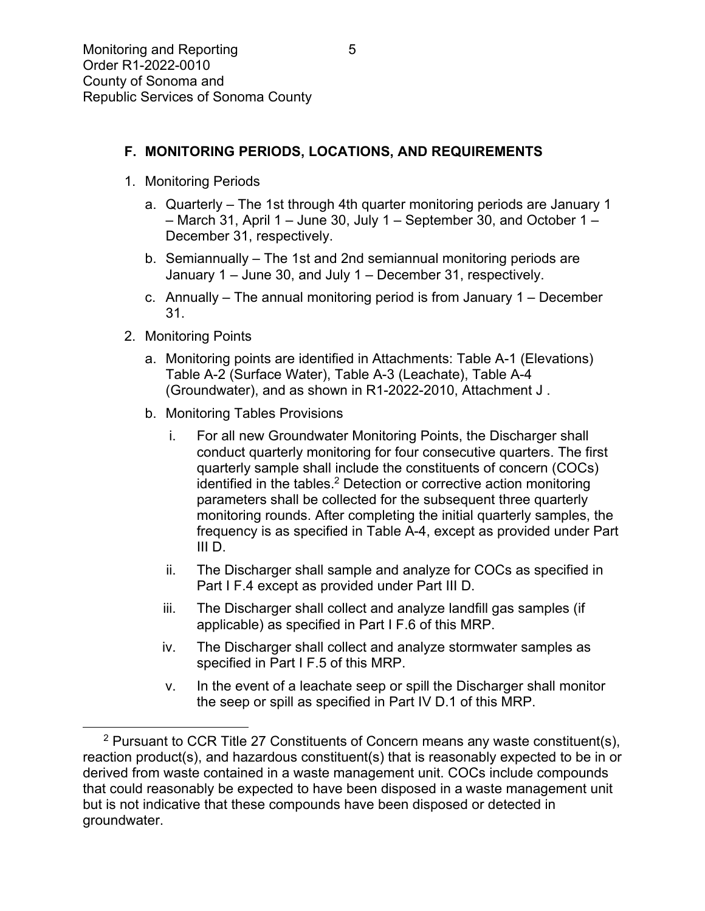## **F. MONITORING PERIODS, LOCATIONS, AND REQUIREMENTS**

- 1. Monitoring Periods
	- a. Quarterly The 1st through 4th quarter monitoring periods are January 1 – March 31, April 1 – June 30, July 1 – September 30, and October 1 – December 31, respectively.
	- b. Semiannually The 1st and 2nd semiannual monitoring periods are January 1 – June 30, and July 1 – December 31, respectively.
	- c. Annually The annual monitoring period is from January 1 December 31.
- 2. Monitoring Points
	- a. Monitoring points are identified in Attachments: Table A-1 (Elevations) Table A-2 (Surface Water), Table A-3 (Leachate), Table A-4 (Groundwater), and as shown in R1-2022-2010, Attachment J .
	- b. Monitoring Tables Provisions
		- i. For all new Groundwater Monitoring Points, the Discharger shall conduct quarterly monitoring for four consecutive quarters. The first quarterly sample shall include the constituents of concern (COCs) identified in the tables.<sup>[2](#page-4-0)</sup> Detection or corrective action monitoring parameters shall be collected for the subsequent three quarterly monitoring rounds. After completing the initial quarterly samples, the frequency is as specified in Table A-4, except as provided under Part III D.
		- ii. The Discharger shall sample and analyze for COCs as specified in Part I F.4 except as provided under Part III D.
		- iii. The Discharger shall collect and analyze landfill gas samples (if applicable) as specified in Part I F.6 of this MRP.
		- iv. The Discharger shall collect and analyze stormwater samples as specified in Part I F.5 of this MRP.
		- v. In the event of a leachate seep or spill the Discharger shall monitor the seep or spill as specified in Part IV D.1 of this MRP.

<span id="page-4-0"></span><sup>&</sup>lt;sup>2</sup> Pursuant to CCR Title 27 Constituents of Concern means any waste constituent(s), reaction product(s), and hazardous constituent(s) that is reasonably expected to be in or derived from waste contained in a waste management unit. COCs include compounds that could reasonably be expected to have been disposed in a waste management unit but is not indicative that these compounds have been disposed or detected in groundwater.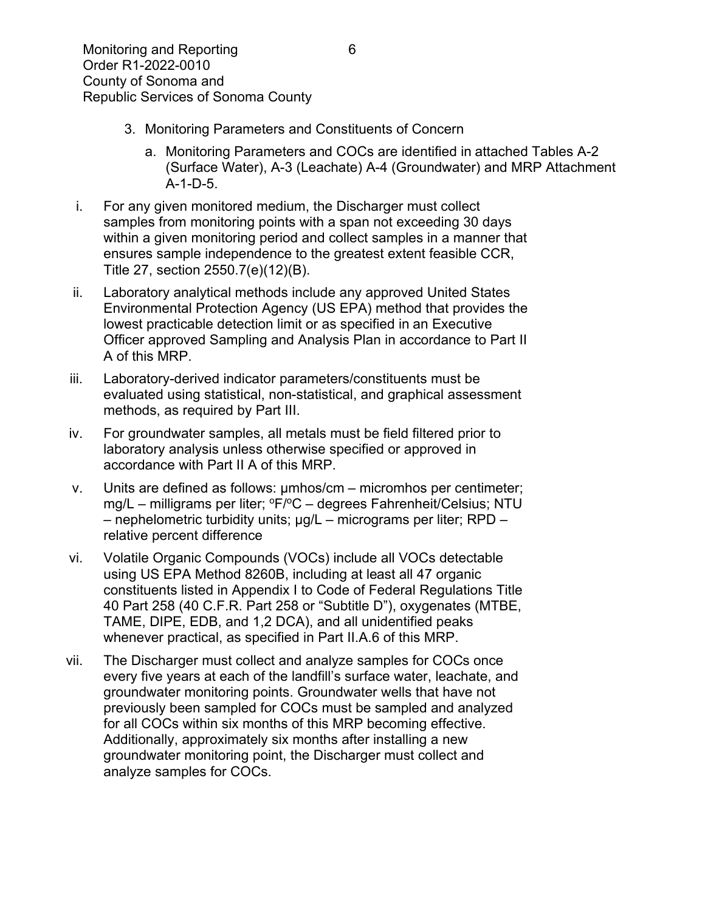- 3. Monitoring Parameters and Constituents of Concern
	- a. Monitoring Parameters and COCs are identified in attached Tables A-2 (Surface Water), A-3 (Leachate) A-4 (Groundwater) and MRP Attachment A-1-D-5.
- i. For any given monitored medium, the Discharger must collect samples from monitoring points with a span not exceeding 30 days within a given monitoring period and collect samples in a manner that ensures sample independence to the greatest extent feasible CCR, Title 27, section 2550.7(e)(12)(B).
- ii. Laboratory analytical methods include any approved United States Environmental Protection Agency (US EPA) method that provides the lowest practicable detection limit or as specified in an Executive Officer approved Sampling and Analysis Plan in accordance to Part II A of this MRP.
- iii. Laboratory-derived indicator parameters/constituents must be evaluated using statistical, non-statistical, and graphical assessment methods, as required by Part III.
- iv. For groundwater samples, all metals must be field filtered prior to laboratory analysis unless otherwise specified or approved in accordance with Part II A of this MRP.
- v. Units are defined as follows: µmhos/cm micromhos per centimeter;  $mq/L$  – milligrams per liter;  ${}^{\circ}F/{}^{\circ}C$  – degrees Fahrenheit/Celsius; NTU – nephelometric turbidity units; µg/L – micrograms per liter; RPD – relative percent difference
- vi. Volatile Organic Compounds (VOCs) include all VOCs detectable using US EPA Method 8260B, including at least all 47 organic constituents listed in Appendix I to Code of Federal Regulations Title 40 Part 258 (40 C.F.R. Part 258 or "Subtitle D"), oxygenates (MTBE, TAME, DIPE, EDB, and 1,2 DCA), and all unidentified peaks whenever practical, as specified in Part II.A.6 of this MRP.
- vii. The Discharger must collect and analyze samples for COCs once every five years at each of the landfill's surface water, leachate, and groundwater monitoring points. Groundwater wells that have not previously been sampled for COCs must be sampled and analyzed for all COCs within six months of this MRP becoming effective. Additionally, approximately six months after installing a new groundwater monitoring point, the Discharger must collect and analyze samples for COCs.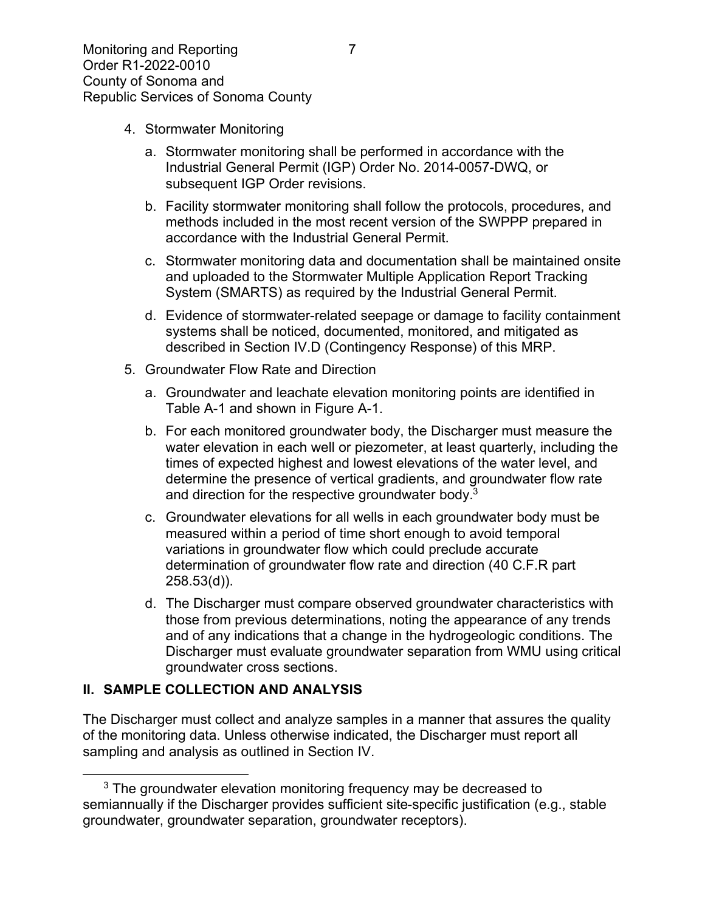- 4. Stormwater Monitoring
	- a. Stormwater monitoring shall be performed in accordance with the Industrial General Permit (IGP) Order No. 2014-0057-DWQ, or subsequent IGP Order revisions.
	- b. Facility stormwater monitoring shall follow the protocols, procedures, and methods included in the most recent version of the SWPPP prepared in accordance with the Industrial General Permit.
	- c. Stormwater monitoring data and documentation shall be maintained onsite and uploaded to the Stormwater Multiple Application Report Tracking System (SMARTS) as required by the Industrial General Permit.
	- d. Evidence of stormwater-related seepage or damage to facility containment systems shall be noticed, documented, monitored, and mitigated as described in Section IV.D (Contingency Response) of this MRP.
- 5. Groundwater Flow Rate and Direction
	- a. Groundwater and leachate elevation monitoring points are identified in Table A-1 and shown in Figure A-1.
	- b. For each monitored groundwater body, the Discharger must measure the water elevation in each well or piezometer, at least quarterly, including the times of expected highest and lowest elevations of the water level, and determine the presence of vertical gradients, and groundwater flow rate and direction for the respective groundwater body.<sup>[3](#page-6-0)</sup>
	- c. Groundwater elevations for all wells in each groundwater body must be measured within a period of time short enough to avoid temporal variations in groundwater flow which could preclude accurate determination of groundwater flow rate and direction (40 C.F.R part 258.53(d)).
	- d. The Discharger must compare observed groundwater characteristics with those from previous determinations, noting the appearance of any trends and of any indications that a change in the hydrogeologic conditions. The Discharger must evaluate groundwater separation from WMU using critical groundwater cross sections.

#### **II. SAMPLE COLLECTION AND ANALYSIS**

The Discharger must collect and analyze samples in a manner that assures the quality of the monitoring data. Unless otherwise indicated, the Discharger must report all sampling and analysis as outlined in Section IV.

<span id="page-6-0"></span> $3$  The groundwater elevation monitoring frequency may be decreased to semiannually if the Discharger provides sufficient site-specific justification (e.g., stable groundwater, groundwater separation, groundwater receptors).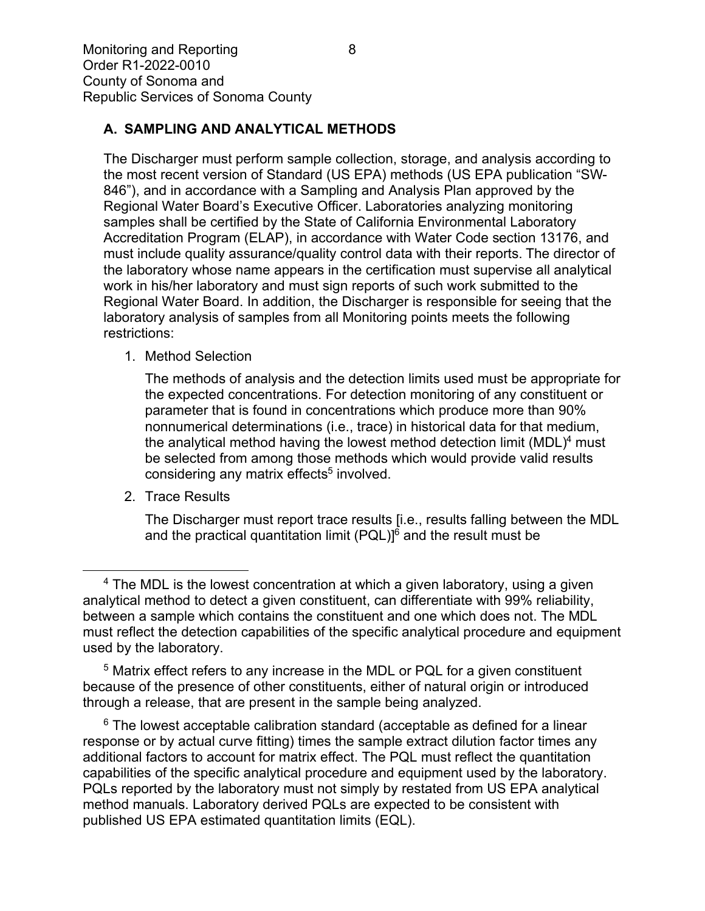### **A. SAMPLING AND ANALYTICAL METHODS**

The Discharger must perform sample collection, storage, and analysis according to the most recent version of Standard (US EPA) methods (US EPA publication "SW-846"), and in accordance with a Sampling and Analysis Plan approved by the Regional Water Board's Executive Officer. Laboratories analyzing monitoring samples shall be certified by the State of California Environmental Laboratory Accreditation Program (ELAP), in accordance with Water Code section 13176, and must include quality assurance/quality control data with their reports. The director of the laboratory whose name appears in the certification must supervise all analytical work in his/her laboratory and must sign reports of such work submitted to the Regional Water Board. In addition, the Discharger is responsible for seeing that the laboratory analysis of samples from all Monitoring points meets the following restrictions:

1. Method Selection

The methods of analysis and the detection limits used must be appropriate for the expected concentrations. For detection monitoring of any constituent or parameter that is found in concentrations which produce more than 90% nonnumerical determinations (i.e., trace) in historical data for that medium, the analytical method having the lowest method detection limit (MDL)<sup>[4](#page-7-0)</sup> must be selected from among those methods which would provide valid results considering any matrix effects<sup>[5](#page-7-1)</sup> involved.

2. Trace Results

The Discharger must report trace results [i.e., results falling between the MDL and the practical quantitation limit  $(PQL)$ <sup>[6](#page-7-2)</sup> and the result must be

<span id="page-7-1"></span><sup>5</sup> Matrix effect refers to any increase in the MDL or PQL for a given constituent because of the presence of other constituents, either of natural origin or introduced through a release, that are present in the sample being analyzed.

<span id="page-7-2"></span> $6$  The lowest acceptable calibration standard (acceptable as defined for a linear response or by actual curve fitting) times the sample extract dilution factor times any additional factors to account for matrix effect. The PQL must reflect the quantitation capabilities of the specific analytical procedure and equipment used by the laboratory. PQLs reported by the laboratory must not simply by restated from US EPA analytical method manuals. Laboratory derived PQLs are expected to be consistent with published US EPA estimated quantitation limits (EQL).

<span id="page-7-0"></span> $4$  The MDL is the lowest concentration at which a given laboratory, using a given analytical method to detect a given constituent, can differentiate with 99% reliability, between a sample which contains the constituent and one which does not. The MDL must reflect the detection capabilities of the specific analytical procedure and equipment used by the laboratory.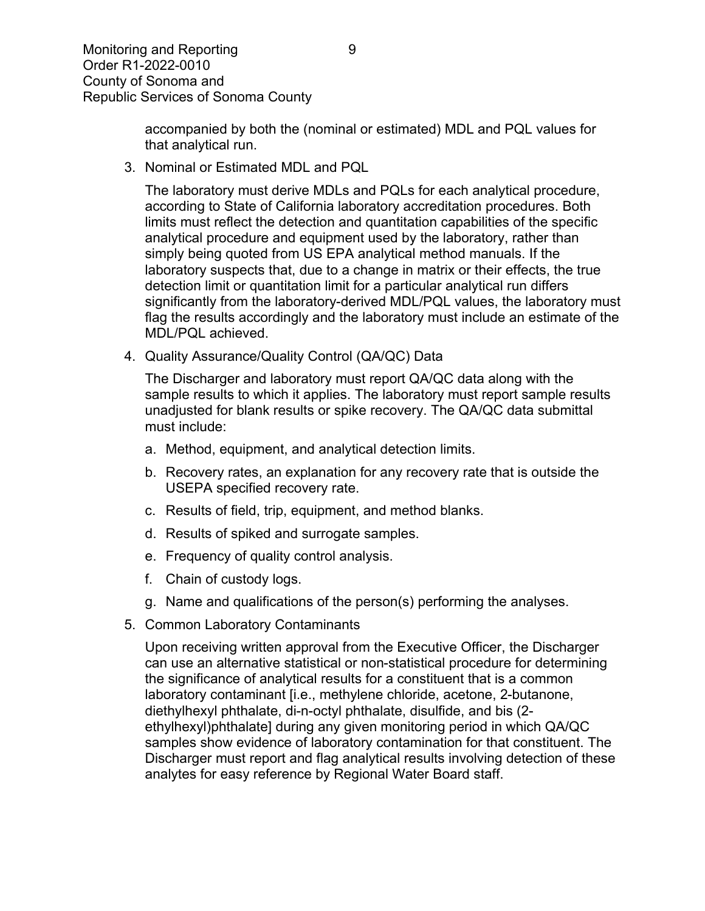accompanied by both the (nominal or estimated) MDL and PQL values for that analytical run.

3. Nominal or Estimated MDL and PQL

The laboratory must derive MDLs and PQLs for each analytical procedure, according to State of California laboratory accreditation procedures. Both limits must reflect the detection and quantitation capabilities of the specific analytical procedure and equipment used by the laboratory, rather than simply being quoted from US EPA analytical method manuals. If the laboratory suspects that, due to a change in matrix or their effects, the true detection limit or quantitation limit for a particular analytical run differs significantly from the laboratory-derived MDL/PQL values, the laboratory must flag the results accordingly and the laboratory must include an estimate of the MDL/PQL achieved.

4. Quality Assurance/Quality Control (QA/QC) Data

The Discharger and laboratory must report QA/QC data along with the sample results to which it applies. The laboratory must report sample results unadjusted for blank results or spike recovery. The QA/QC data submittal must include:

- a. Method, equipment, and analytical detection limits.
- b. Recovery rates, an explanation for any recovery rate that is outside the USEPA specified recovery rate.
- c. Results of field, trip, equipment, and method blanks.
- d. Results of spiked and surrogate samples.
- e. Frequency of quality control analysis.
- f. Chain of custody logs.
- g. Name and qualifications of the person(s) performing the analyses.
- 5. Common Laboratory Contaminants

Upon receiving written approval from the Executive Officer, the Discharger can use an alternative statistical or non-statistical procedure for determining the significance of analytical results for a constituent that is a common laboratory contaminant [i.e., methylene chloride, acetone, 2-butanone, diethylhexyl phthalate, di-n-octyl phthalate, disulfide, and bis (2 ethylhexyl)phthalate] during any given monitoring period in which QA/QC samples show evidence of laboratory contamination for that constituent. The Discharger must report and flag analytical results involving detection of these analytes for easy reference by Regional Water Board staff.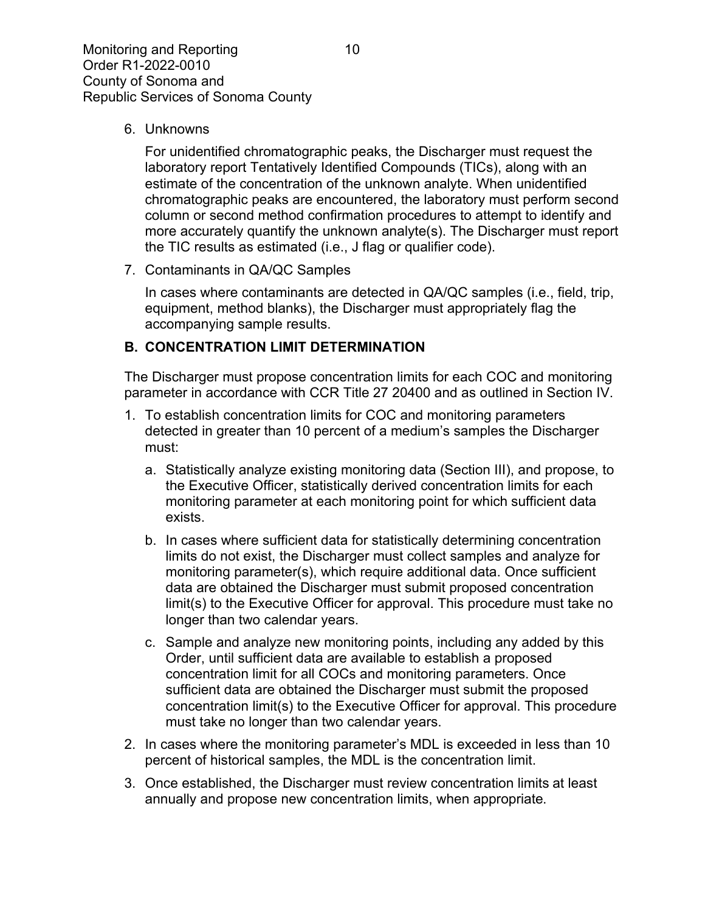6. Unknowns

For unidentified chromatographic peaks, the Discharger must request the laboratory report Tentatively Identified Compounds (TICs), along with an estimate of the concentration of the unknown analyte. When unidentified chromatographic peaks are encountered, the laboratory must perform second column or second method confirmation procedures to attempt to identify and more accurately quantify the unknown analyte(s). The Discharger must report the TIC results as estimated (i.e., J flag or qualifier code).

7. Contaminants in QA/QC Samples

In cases where contaminants are detected in QA/QC samples (i.e., field, trip, equipment, method blanks), the Discharger must appropriately flag the accompanying sample results.

#### **B. CONCENTRATION LIMIT DETERMINATION**

The Discharger must propose concentration limits for each COC and monitoring parameter in accordance with CCR Title 27 20400 and as outlined in Section IV.

- 1. To establish concentration limits for COC and monitoring parameters detected in greater than 10 percent of a medium's samples the Discharger must:
	- a. Statistically analyze existing monitoring data (Section III), and propose, to the Executive Officer, statistically derived concentration limits for each monitoring parameter at each monitoring point for which sufficient data exists.
	- b. In cases where sufficient data for statistically determining concentration limits do not exist, the Discharger must collect samples and analyze for monitoring parameter(s), which require additional data. Once sufficient data are obtained the Discharger must submit proposed concentration limit(s) to the Executive Officer for approval. This procedure must take no longer than two calendar years.
	- c. Sample and analyze new monitoring points, including any added by this Order, until sufficient data are available to establish a proposed concentration limit for all COCs and monitoring parameters. Once sufficient data are obtained the Discharger must submit the proposed concentration limit(s) to the Executive Officer for approval. This procedure must take no longer than two calendar years.
- 2. In cases where the monitoring parameter's MDL is exceeded in less than 10 percent of historical samples, the MDL is the concentration limit.
- 3. Once established, the Discharger must review concentration limits at least annually and propose new concentration limits, when appropriate.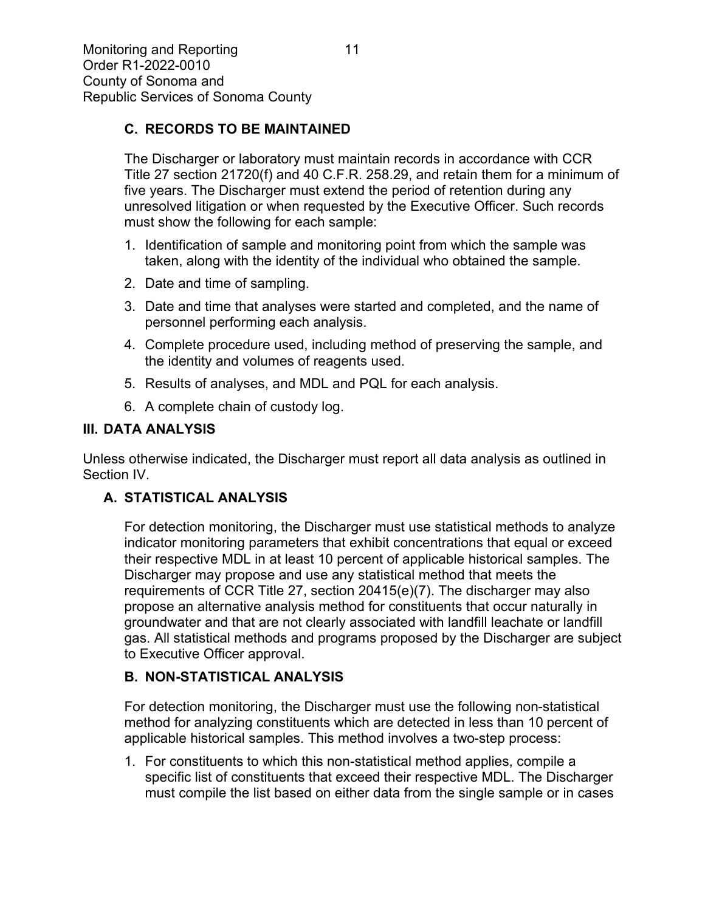### **C. RECORDS TO BE MAINTAINED**

The Discharger or laboratory must maintain records in accordance with CCR Title 27 section 21720(f) and 40 C.F.R. 258.29, and retain them for a minimum of five years. The Discharger must extend the period of retention during any unresolved litigation or when requested by the Executive Officer. Such records must show the following for each sample:

- 1. Identification of sample and monitoring point from which the sample was taken, along with the identity of the individual who obtained the sample.
- 2. Date and time of sampling.
- 3. Date and time that analyses were started and completed, and the name of personnel performing each analysis.
- 4. Complete procedure used, including method of preserving the sample, and the identity and volumes of reagents used.
- 5. Results of analyses, and MDL and PQL for each analysis.
- 6. A complete chain of custody log.

#### **III. DATA ANALYSIS**

Unless otherwise indicated, the Discharger must report all data analysis as outlined in Section IV.

### **A. STATISTICAL ANALYSIS**

For detection monitoring, the Discharger must use statistical methods to analyze indicator monitoring parameters that exhibit concentrations that equal or exceed their respective MDL in at least 10 percent of applicable historical samples. The Discharger may propose and use any statistical method that meets the requirements of CCR Title 27, section 20415(e)(7). The discharger may also propose an alternative analysis method for constituents that occur naturally in groundwater and that are not clearly associated with landfill leachate or landfill gas. All statistical methods and programs proposed by the Discharger are subject to Executive Officer approval.

### **B. NON-STATISTICAL ANALYSIS**

For detection monitoring, the Discharger must use the following non-statistical method for analyzing constituents which are detected in less than 10 percent of applicable historical samples. This method involves a two-step process:

1. For constituents to which this non-statistical method applies, compile a specific list of constituents that exceed their respective MDL. The Discharger must compile the list based on either data from the single sample or in cases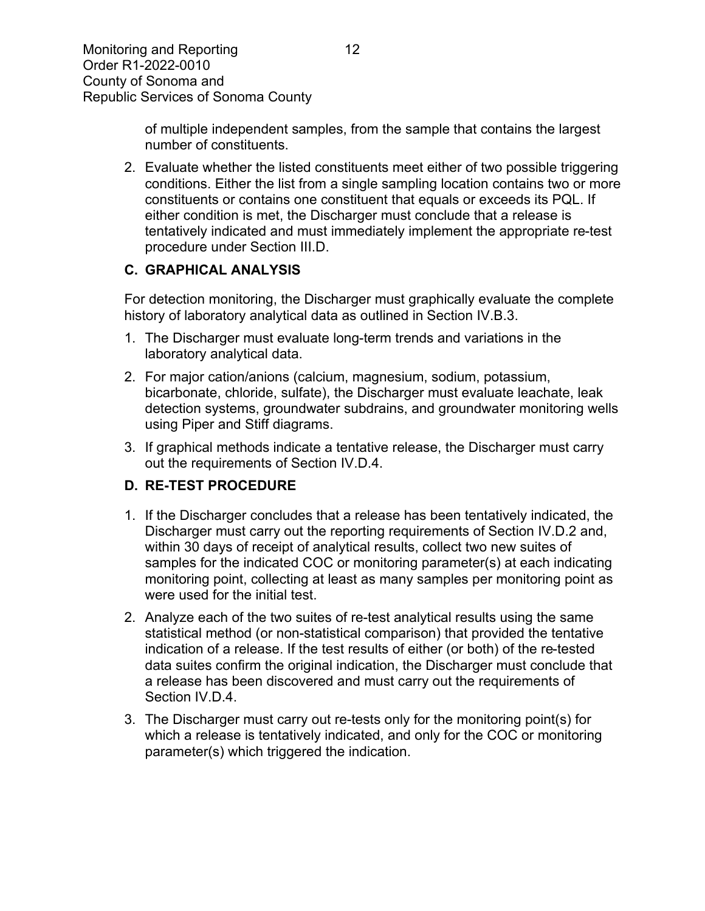of multiple independent samples, from the sample that contains the largest number of constituents.

2. Evaluate whether the listed constituents meet either of two possible triggering conditions. Either the list from a single sampling location contains two or more constituents or contains one constituent that equals or exceeds its PQL. If either condition is met, the Discharger must conclude that a release is tentatively indicated and must immediately implement the appropriate re-test procedure under Section III.D.

### **C. GRAPHICAL ANALYSIS**

For detection monitoring, the Discharger must graphically evaluate the complete history of laboratory analytical data as outlined in Section IV.B.3.

- 1. The Discharger must evaluate long-term trends and variations in the laboratory analytical data.
- 2. For major cation/anions (calcium, magnesium, sodium, potassium, bicarbonate, chloride, sulfate), the Discharger must evaluate leachate, leak detection systems, groundwater subdrains, and groundwater monitoring wells using Piper and Stiff diagrams.
- 3. If graphical methods indicate a tentative release, the Discharger must carry out the requirements of Section IV.D.4.

# **D. RE-TEST PROCEDURE**

- 1. If the Discharger concludes that a release has been tentatively indicated, the Discharger must carry out the reporting requirements of Section IV.D.2 and, within 30 days of receipt of analytical results, collect two new suites of samples for the indicated COC or monitoring parameter(s) at each indicating monitoring point, collecting at least as many samples per monitoring point as were used for the initial test.
- 2. Analyze each of the two suites of re-test analytical results using the same statistical method (or non-statistical comparison) that provided the tentative indication of a release. If the test results of either (or both) of the re-tested data suites confirm the original indication, the Discharger must conclude that a release has been discovered and must carry out the requirements of Section IV.D.4.
- 3. The Discharger must carry out re-tests only for the monitoring point(s) for which a release is tentatively indicated, and only for the COC or monitoring parameter(s) which triggered the indication.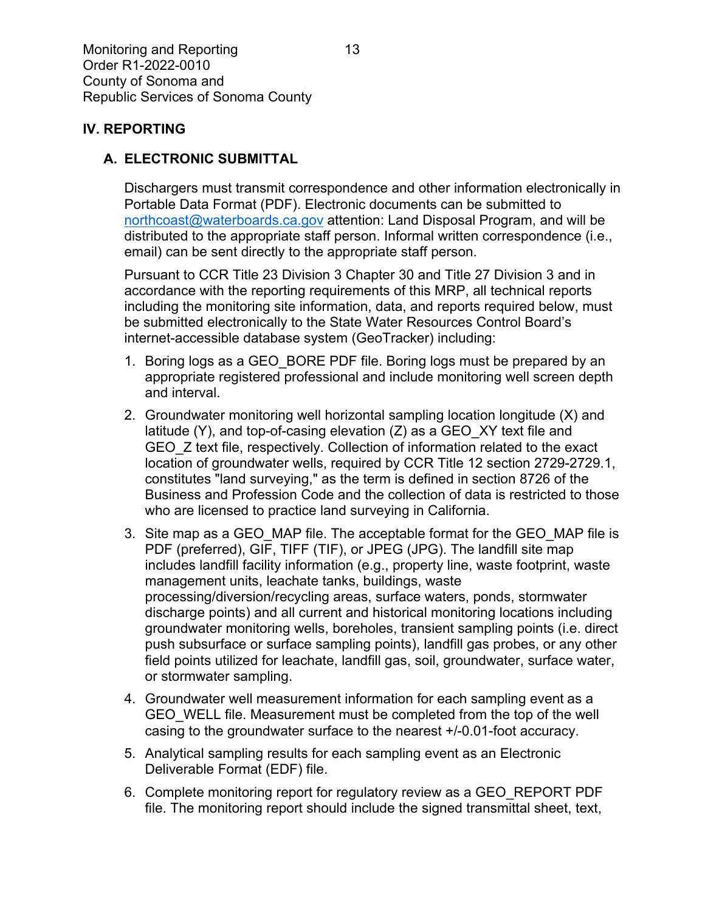#### **IV. REPORTING**

#### **A. ELECTRONIC SUBMITTAL**

Dischargers must transmit correspondence and other information electronically in Portable Data Format (PDF). Electronic documents can be submitted to [northcoast@waterboards.ca.gov](mailto:northcoast@waterboards.ca.gov) attention: Land Disposal Program, and will be distributed to the appropriate staff person. Informal written correspondence (i.e., email) can be sent directly to the appropriate staff person.

Pursuant to CCR Title 23 Division 3 Chapter 30 and Title 27 Division 3 and in accordance with the reporting requirements of this MRP, all technical reports including the monitoring site information, data, and reports required below, must be submitted electronically to the State Water Resources Control Board's internet-accessible database system (GeoTracker) including:

- 1. Boring logs as a GEO\_BORE PDF file. Boring logs must be prepared by an appropriate registered professional and include monitoring well screen depth and interval.
- 2. Groundwater monitoring well horizontal sampling location longitude (X) and latitude (Y), and top-of-casing elevation (Z) as a GEO\_XY text file and GEO\_Z text file, respectively. Collection of information related to the exact location of groundwater wells, required by CCR Title 12 section 2729-2729.1, constitutes "land surveying," as the term is defined in section 8726 of the Business and Profession Code and the collection of data is restricted to those who are licensed to practice land surveying in California.
- 3. Site map as a GEO\_MAP file. The acceptable format for the GEO\_MAP file is PDF (preferred), GIF, TIFF (TIF), or JPEG (JPG). The landfill site map includes landfill facility information (e.g., property line, waste footprint, waste management units, leachate tanks, buildings, waste processing/diversion/recycling areas, surface waters, ponds, stormwater discharge points) and all current and historical monitoring locations including groundwater monitoring wells, boreholes, transient sampling points (i.e. direct push subsurface or surface sampling points), landfill gas probes, or any other field points utilized for leachate, landfill gas, soil, groundwater, surface water, or stormwater sampling.
- 4. Groundwater well measurement information for each sampling event as a GEO WELL file. Measurement must be completed from the top of the well casing to the groundwater surface to the nearest +/-0.01-foot accuracy.
- 5. Analytical sampling results for each sampling event as an Electronic Deliverable Format (EDF) file.
- 6. Complete monitoring report for regulatory review as a GEO\_REPORT PDF file. The monitoring report should include the signed transmittal sheet, text,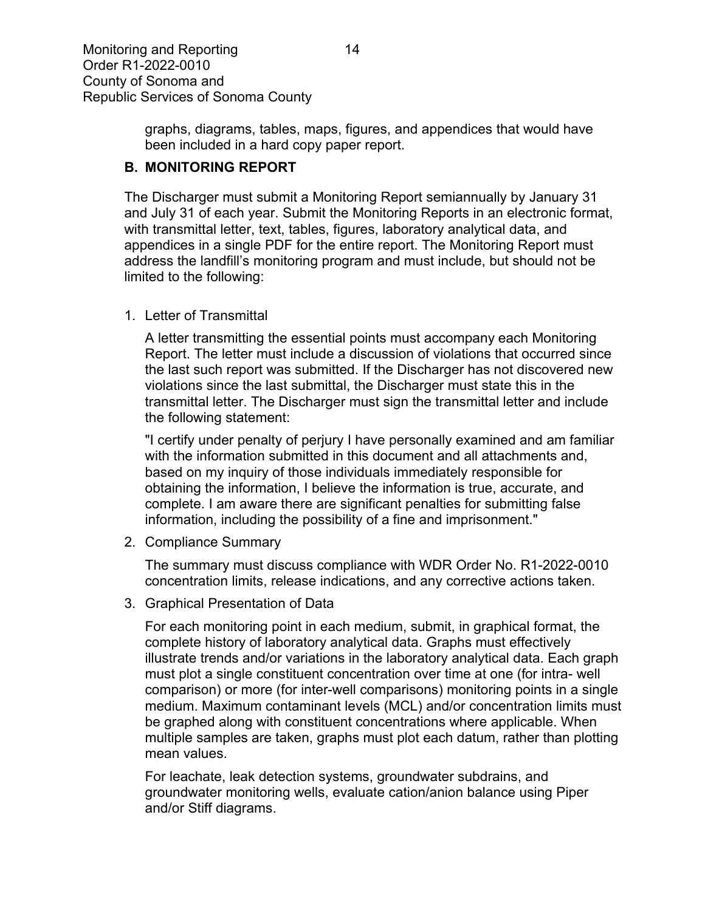graphs, diagrams, tables, maps, figures, and appendices that would have been included in a hard copy paper report.

#### **B. MONITORING REPORT**

The Discharger must submit a Monitoring Report semiannually by January 31 and July 31 of each year. Submit the Monitoring Reports in an electronic format, with transmittal letter, text, tables, figures, laboratory analytical data, and appendices in a single PDF for the entire report. The Monitoring Report must address the landfill's monitoring program and must include, but should not be limited to the following:

1. Letter of Transmittal

A letter transmitting the essential points must accompany each Monitoring Report. The letter must include a discussion of violations that occurred since the last such report was submitted. If the Discharger has not discovered new violations since the last submittal, the Discharger must state this in the transmittal letter. The Discharger must sign the transmittal letter and include the following statement:

"I certify under penalty of perjury I have personally examined and am familiar with the information submitted in this document and all attachments and, based on my inquiry of those individuals immediately responsible for obtaining the information, I believe the information is true, accurate, and complete. I am aware there are significant penalties for submitting false information, including the possibility of a fine and imprisonment."

2. Compliance Summary

The summary must discuss compliance with WDR Order No. R1-2022-0010 concentration limits, release indications, and any corrective actions taken.

3. Graphical Presentation of Data

For each monitoring point in each medium, submit, in graphical format, the complete history of laboratory analytical data. Graphs must effectively illustrate trends and/or variations in the laboratory analytical data. Each graph must plot a single constituent concentration over time at one (for intra- well comparison) or more (for inter-well comparisons) monitoring points in a single medium. Maximum contaminant levels (MCL) and/or concentration limits must be graphed along with constituent concentrations where applicable. When multiple samples are taken, graphs must plot each datum, rather than plotting mean values.

For leachate, leak detection systems, groundwater subdrains, and groundwater monitoring wells, evaluate cation/anion balance using Piper and/or Stiff diagrams.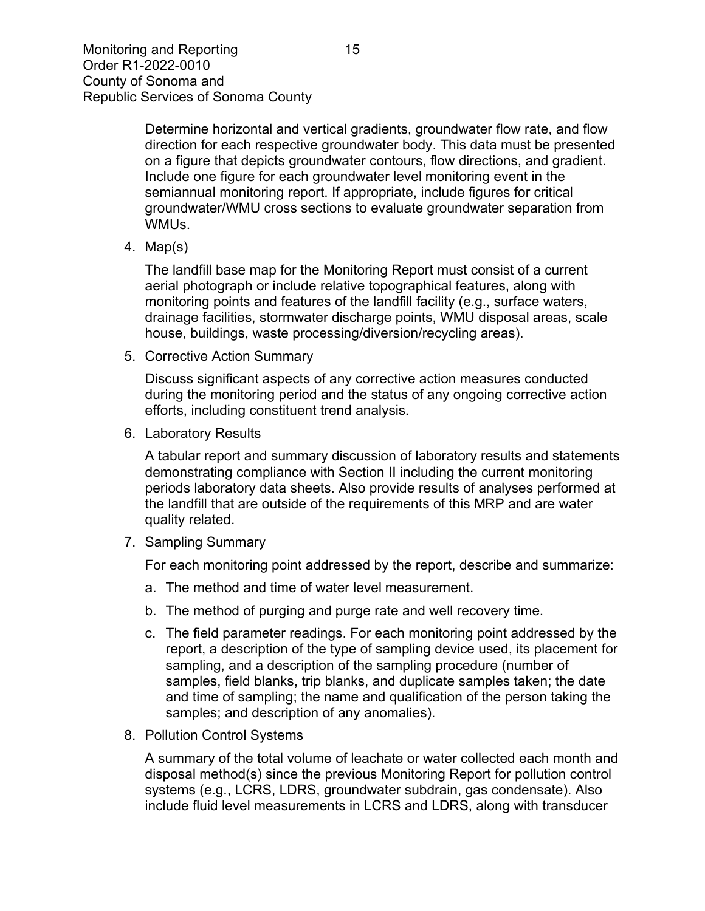Determine horizontal and vertical gradients, groundwater flow rate, and flow direction for each respective groundwater body. This data must be presented on a figure that depicts groundwater contours, flow directions, and gradient. Include one figure for each groundwater level monitoring event in the semiannual monitoring report. If appropriate, include figures for critical groundwater/WMU cross sections to evaluate groundwater separation from WMUs.

4. Map(s)

The landfill base map for the Monitoring Report must consist of a current aerial photograph or include relative topographical features, along with monitoring points and features of the landfill facility (e.g., surface waters, drainage facilities, stormwater discharge points, WMU disposal areas, scale house, buildings, waste processing/diversion/recycling areas).

5. Corrective Action Summary

Discuss significant aspects of any corrective action measures conducted during the monitoring period and the status of any ongoing corrective action efforts, including constituent trend analysis.

6. Laboratory Results

A tabular report and summary discussion of laboratory results and statements demonstrating compliance with Section II including the current monitoring periods laboratory data sheets. Also provide results of analyses performed at the landfill that are outside of the requirements of this MRP and are water quality related.

7. Sampling Summary

For each monitoring point addressed by the report, describe and summarize:

- a. The method and time of water level measurement.
- b. The method of purging and purge rate and well recovery time.
- c. The field parameter readings. For each monitoring point addressed by the report, a description of the type of sampling device used, its placement for sampling, and a description of the sampling procedure (number of samples, field blanks, trip blanks, and duplicate samples taken; the date and time of sampling; the name and qualification of the person taking the samples; and description of any anomalies).
- 8. Pollution Control Systems

A summary of the total volume of leachate or water collected each month and disposal method(s) since the previous Monitoring Report for pollution control systems (e.g., LCRS, LDRS, groundwater subdrain, gas condensate). Also include fluid level measurements in LCRS and LDRS, along with transducer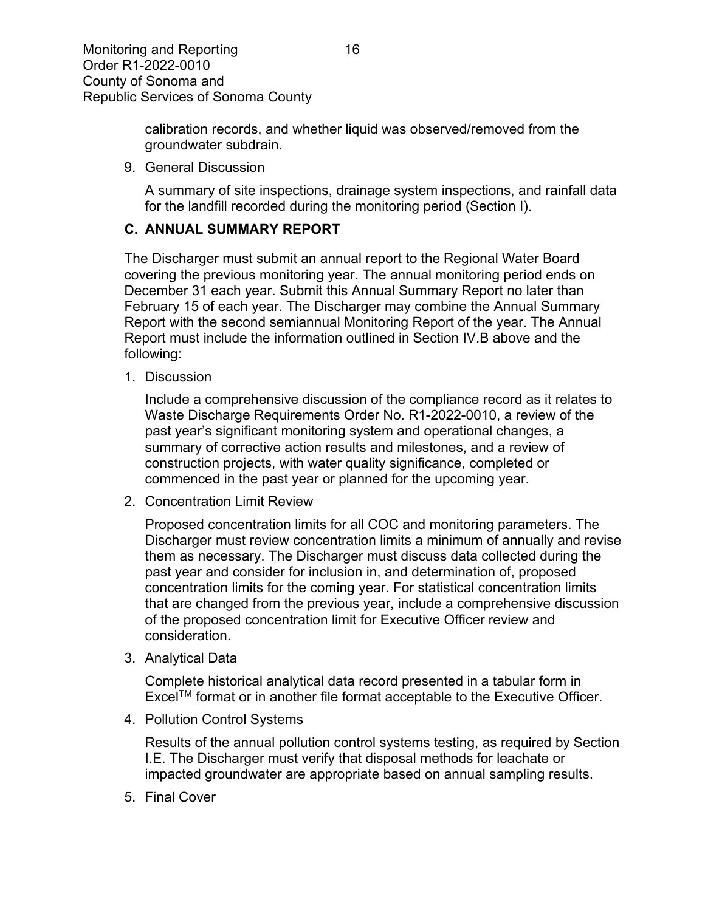calibration records, and whether liquid was observed/removed from the groundwater subdrain.

9. General Discussion

A summary of site inspections, drainage system inspections, and rainfall data for the landfill recorded during the monitoring period (Section I).

#### **C. ANNUAL SUMMARY REPORT**

The Discharger must submit an annual report to the Regional Water Board covering the previous monitoring year. The annual monitoring period ends on December 31 each year. Submit this Annual Summary Report no later than February 15 of each year. The Discharger may combine the Annual Summary Report with the second semiannual Monitoring Report of the year. The Annual Report must include the information outlined in Section IV.B above and the following:

1. Discussion

Include a comprehensive discussion of the compliance record as it relates to Waste Discharge Requirements Order No. R1-2022-0010, a review of the past year's significant monitoring system and operational changes, a summary of corrective action results and milestones, and a review of construction projects, with water quality significance, completed or commenced in the past year or planned for the upcoming year.

2. Concentration Limit Review

Proposed concentration limits for all COC and monitoring parameters. The Discharger must review concentration limits a minimum of annually and revise them as necessary. The Discharger must discuss data collected during the past year and consider for inclusion in, and determination of, proposed concentration limits for the coming year. For statistical concentration limits that are changed from the previous year, include a comprehensive discussion of the proposed concentration limit for Executive Officer review and consideration.

3. Analytical Data

Complete historical analytical data record presented in a tabular form in ExcelTM format or in another file format acceptable to the Executive Officer.

4. Pollution Control Systems

Results of the annual pollution control systems testing, as required by Section I.E. The Discharger must verify that disposal methods for leachate or impacted groundwater are appropriate based on annual sampling results.

5. Final Cover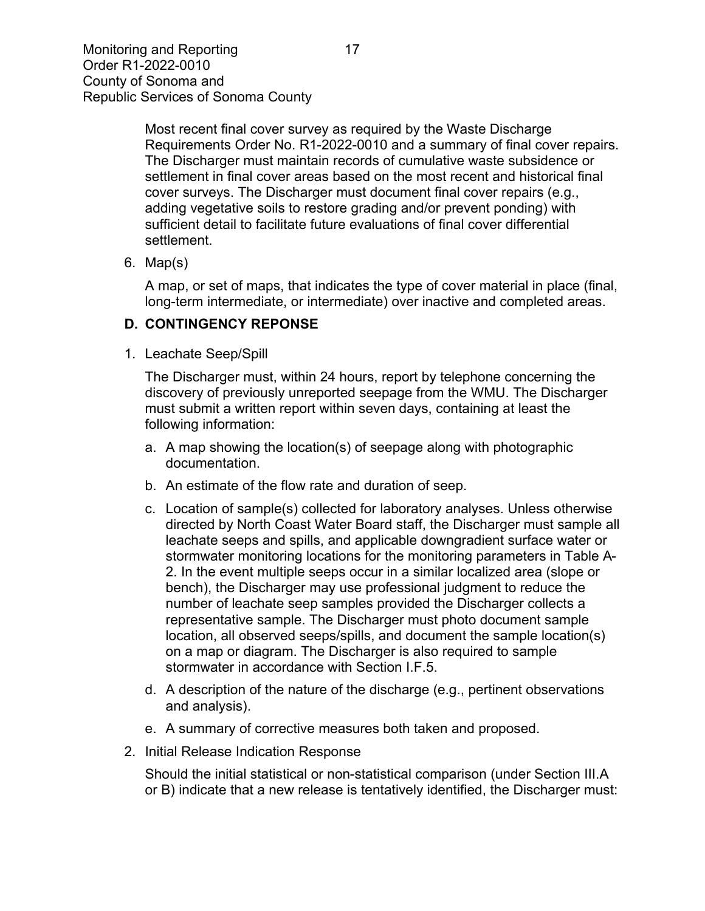Most recent final cover survey as required by the Waste Discharge Requirements Order No. R1-2022-0010 and a summary of final cover repairs. The Discharger must maintain records of cumulative waste subsidence or settlement in final cover areas based on the most recent and historical final cover surveys. The Discharger must document final cover repairs (e.g., adding vegetative soils to restore grading and/or prevent ponding) with sufficient detail to facilitate future evaluations of final cover differential settlement.

6. Map(s)

A map, or set of maps, that indicates the type of cover material in place (final, long-term intermediate, or intermediate) over inactive and completed areas.

## **D. CONTINGENCY REPONSE**

1. Leachate Seep/Spill

The Discharger must, within 24 hours, report by telephone concerning the discovery of previously unreported seepage from the WMU. The Discharger must submit a written report within seven days, containing at least the following information:

- a. A map showing the location(s) of seepage along with photographic documentation.
- b. An estimate of the flow rate and duration of seep.
- c. Location of sample(s) collected for laboratory analyses. Unless otherwise directed by North Coast Water Board staff, the Discharger must sample all leachate seeps and spills, and applicable downgradient surface water or stormwater monitoring locations for the monitoring parameters in Table A-2. In the event multiple seeps occur in a similar localized area (slope or bench), the Discharger may use professional judgment to reduce the number of leachate seep samples provided the Discharger collects a representative sample. The Discharger must photo document sample location, all observed seeps/spills, and document the sample location(s) on a map or diagram. The Discharger is also required to sample stormwater in accordance with Section I.F.5.
- d. A description of the nature of the discharge (e.g., pertinent observations and analysis).
- e. A summary of corrective measures both taken and proposed.
- 2. Initial Release Indication Response

Should the initial statistical or non-statistical comparison (under Section III.A or B) indicate that a new release is tentatively identified, the Discharger must: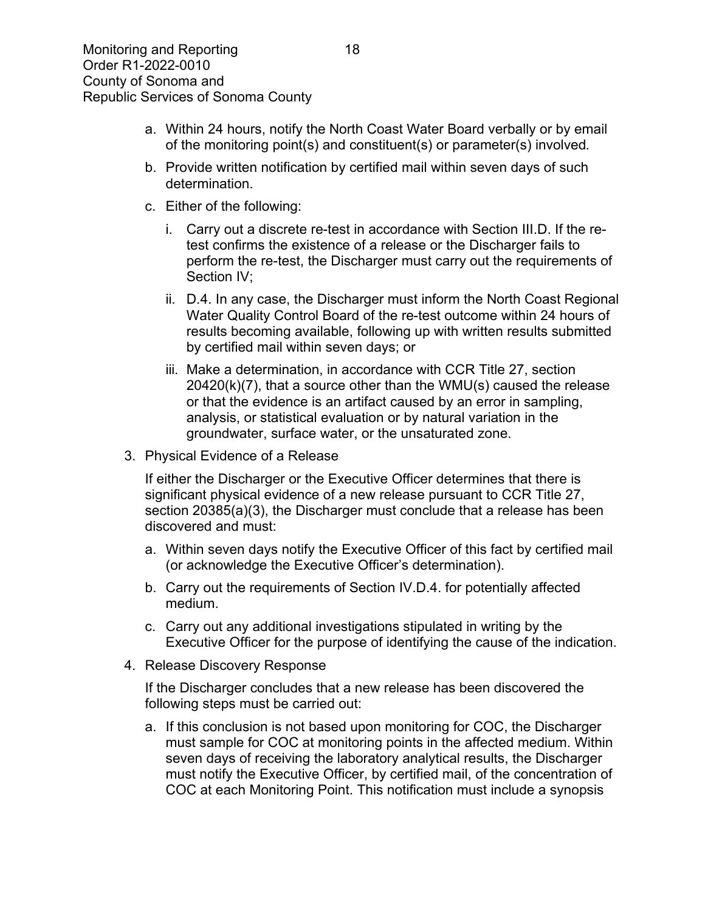- a. Within 24 hours, notify the North Coast Water Board verbally or by email of the monitoring point(s) and constituent(s) or parameter(s) involved.
- b. Provide written notification by certified mail within seven days of such determination.
- c. Either of the following:
	- i. Carry out a discrete re-test in accordance with Section III.D. If the retest confirms the existence of a release or the Discharger fails to perform the re-test, the Discharger must carry out the requirements of Section IV;
	- ii. D.4. In any case, the Discharger must inform the North Coast Regional Water Quality Control Board of the re-test outcome within 24 hours of results becoming available, following up with written results submitted by certified mail within seven days; or
	- iii. Make a determination, in accordance with CCR Title 27, section 20420(k)(7), that a source other than the WMU(s) caused the release or that the evidence is an artifact caused by an error in sampling, analysis, or statistical evaluation or by natural variation in the groundwater, surface water, or the unsaturated zone.
- 3. Physical Evidence of a Release

If either the Discharger or the Executive Officer determines that there is significant physical evidence of a new release pursuant to CCR Title 27, section 20385(a)(3), the Discharger must conclude that a release has been discovered and must:

- a. Within seven days notify the Executive Officer of this fact by certified mail (or acknowledge the Executive Officer's determination).
- b. Carry out the requirements of Section IV.D.4. for potentially affected medium.
- c. Carry out any additional investigations stipulated in writing by the Executive Officer for the purpose of identifying the cause of the indication.
- 4. Release Discovery Response

If the Discharger concludes that a new release has been discovered the following steps must be carried out:

a. If this conclusion is not based upon monitoring for COC, the Discharger must sample for COC at monitoring points in the affected medium. Within seven days of receiving the laboratory analytical results, the Discharger must notify the Executive Officer, by certified mail, of the concentration of COC at each Monitoring Point. This notification must include a synopsis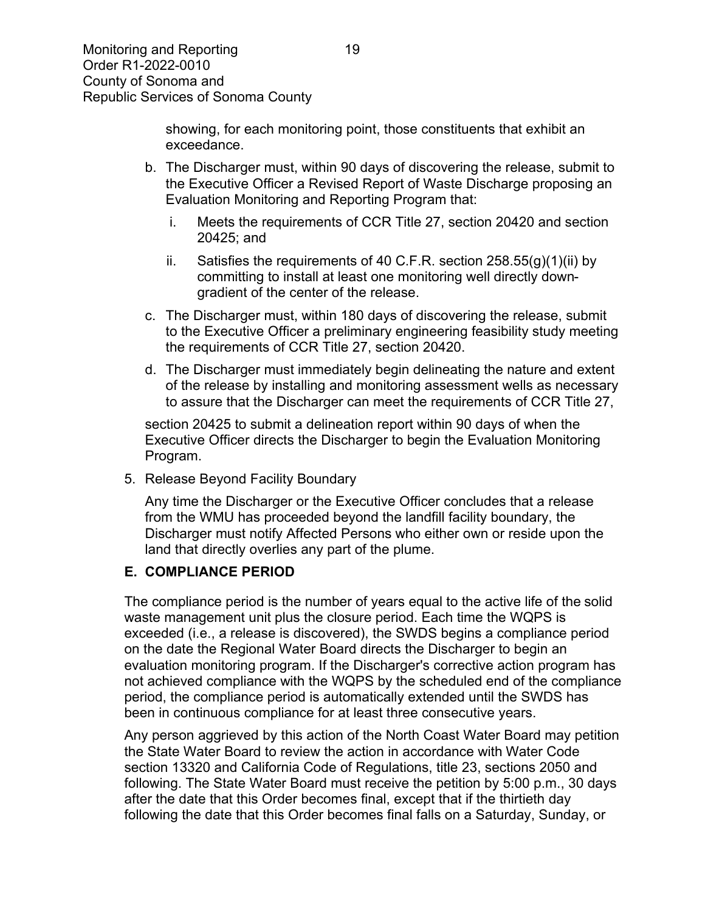showing, for each monitoring point, those constituents that exhibit an exceedance.

- b. The Discharger must, within 90 days of discovering the release, submit to the Executive Officer a Revised Report of Waste Discharge proposing an Evaluation Monitoring and Reporting Program that:
	- i. Meets the requirements of CCR Title 27, section 20420 and section 20425; and
	- ii. Satisfies the requirements of 40 C.F.R. section  $258.55(q)(1)(ii)$  by committing to install at least one monitoring well directly downgradient of the center of the release.
- c. The Discharger must, within 180 days of discovering the release, submit to the Executive Officer a preliminary engineering feasibility study meeting the requirements of CCR Title 27, section 20420.
- d. The Discharger must immediately begin delineating the nature and extent of the release by installing and monitoring assessment wells as necessary to assure that the Discharger can meet the requirements of CCR Title 27,

section 20425 to submit a delineation report within 90 days of when the Executive Officer directs the Discharger to begin the Evaluation Monitoring Program.

5. Release Beyond Facility Boundary

Any time the Discharger or the Executive Officer concludes that a release from the WMU has proceeded beyond the landfill facility boundary, the Discharger must notify Affected Persons who either own or reside upon the land that directly overlies any part of the plume.

### **E. COMPLIANCE PERIOD**

The compliance period is the number of years equal to the active life of the solid waste management unit plus the closure period. Each time the WQPS is exceeded (i.e., a release is discovered), the SWDS begins a compliance period on the date the Regional Water Board directs the Discharger to begin an evaluation monitoring program. If the Discharger's corrective action program has not achieved compliance with the WQPS by the scheduled end of the compliance period, the compliance period is automatically extended until the SWDS has been in continuous compliance for at least three consecutive years.

Any person aggrieved by this action of the North Coast Water Board may petition the State Water Board to review the action in accordance with Water Code section 13320 and California Code of Regulations, title 23, sections 2050 and following. The State Water Board must receive the petition by 5:00 p.m., 30 days after the date that this Order becomes final, except that if the thirtieth day following the date that this Order becomes final falls on a Saturday, Sunday, or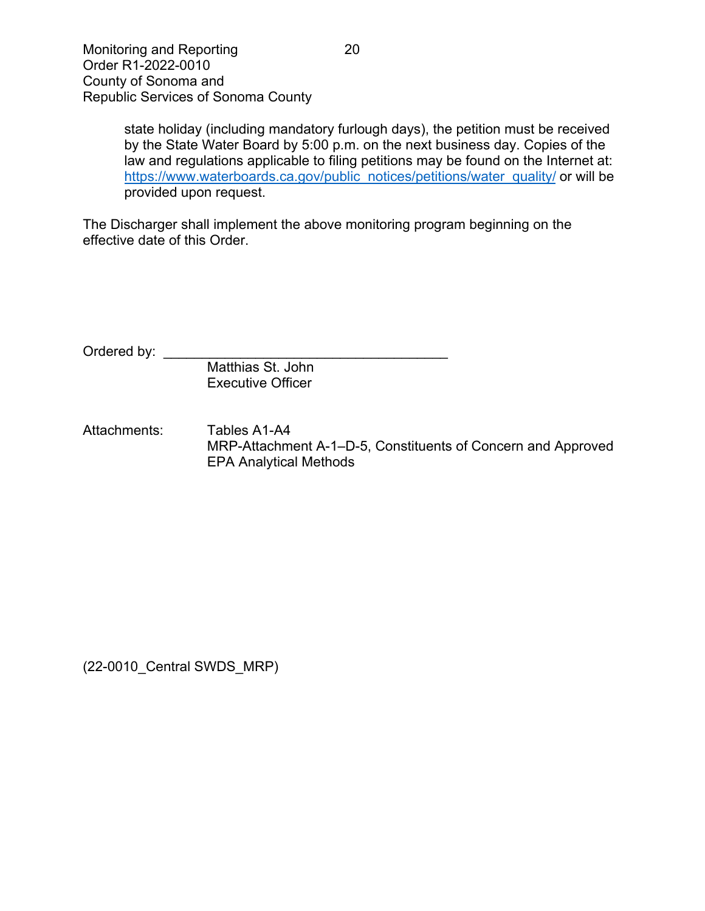state holiday (including mandatory furlough days), the petition must be received by the State Water Board by 5:00 p.m. on the next business day. Copies of the law and regulations applicable to filing petitions may be found on the Internet at: [https://www.waterboards.ca.gov/public\\_notices/petitions/water\\_quality/](https://www.waterboards.ca.gov/public_notices/petitions/water_quality/) or will be provided upon request.

The Discharger shall implement the above monitoring program beginning on the effective date of this Order.

Ordered by: \_\_\_\_\_\_

Matthias St. John Executive Officer

Attachments: Tables A1-A4 MRP-Attachment A-1–D-5, Constituents of Concern and Approved EPA Analytical Methods

(22-0010\_Central SWDS\_MRP)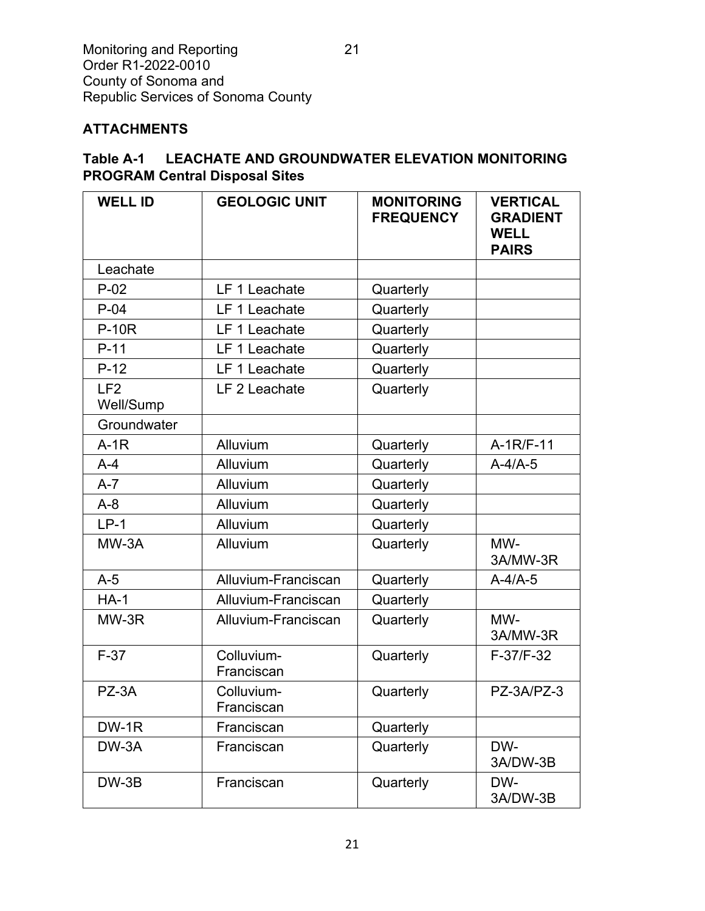# **ATTACHMENTS**

## **Table A-1 LEACHATE AND GROUNDWATER ELEVATION MONITORING PROGRAM Central Disposal Sites**

| <b>WELL ID</b>               | <b>GEOLOGIC UNIT</b>     | <b>MONITORING</b><br><b>FREQUENCY</b> | <b>VERTICAL</b><br><b>GRADIENT</b><br><b>WELL</b><br><b>PAIRS</b> |
|------------------------------|--------------------------|---------------------------------------|-------------------------------------------------------------------|
| Leachate                     |                          |                                       |                                                                   |
| $P-02$                       | LF 1 Leachate            | Quarterly                             |                                                                   |
| $P-04$                       | LF 1 Leachate            | Quarterly                             |                                                                   |
| <b>P-10R</b>                 | LF 1 Leachate            | Quarterly                             |                                                                   |
| $P-11$                       | LF 1 Leachate            | Quarterly                             |                                                                   |
| $P-12$                       | LF 1 Leachate            | Quarterly                             |                                                                   |
| LF <sub>2</sub><br>Well/Sump | LF 2 Leachate            | Quarterly                             |                                                                   |
| Groundwater                  |                          |                                       |                                                                   |
| $A-1R$                       | Alluvium                 | Quarterly                             | $A-1R/F-11$                                                       |
| $A-4$                        | Alluvium                 | Quarterly                             | $A-4/A-5$                                                         |
| $A-7$                        | Alluvium                 | Quarterly                             |                                                                   |
| $A-8$                        | Alluvium                 | Quarterly                             |                                                                   |
| $LP-1$                       | Alluvium                 | Quarterly                             |                                                                   |
| MW-3A                        | Alluvium                 | Quarterly                             | MW-<br>3A/MW-3R                                                   |
| $A-5$                        | Alluvium-Franciscan      | Quarterly                             | $A-4/A-5$                                                         |
| $HA-1$                       | Alluvium-Franciscan      | Quarterly                             |                                                                   |
| MW-3R                        | Alluvium-Franciscan      | Quarterly                             | MW-<br>3A/MW-3R                                                   |
| $F-37$                       | Colluvium-<br>Franciscan | Quarterly                             | F-37/F-32                                                         |
| PZ-3A                        | Colluvium-<br>Franciscan | Quarterly                             | PZ-3A/PZ-3                                                        |
| DW-1R                        | Franciscan               | Quarterly                             |                                                                   |
| DW-3A                        | Franciscan               | Quarterly                             | DW-<br>3A/DW-3B                                                   |
| $DW-3B$                      | Franciscan               | Quarterly                             | DW-<br>3A/DW-3B                                                   |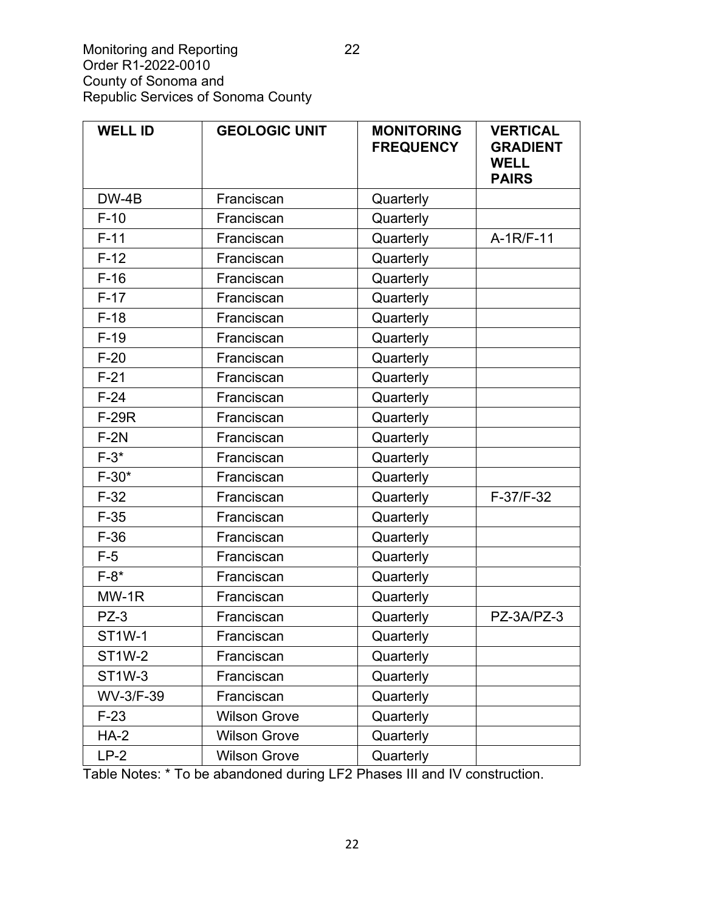| <b>WELL ID</b> | <b>GEOLOGIC UNIT</b> | <b>MONITORING</b><br><b>FREQUENCY</b> | <b>VERTICAL</b><br><b>GRADIENT</b><br><b>WELL</b><br><b>PAIRS</b> |
|----------------|----------------------|---------------------------------------|-------------------------------------------------------------------|
| $DW-4B$        | Franciscan           | Quarterly                             |                                                                   |
| $F-10$         | Franciscan           | Quarterly                             |                                                                   |
| $F-11$         | Franciscan           | Quarterly                             | $A-1R/F-11$                                                       |
| $F-12$         | Franciscan           | Quarterly                             |                                                                   |
| $F-16$         | Franciscan           | Quarterly                             |                                                                   |
| $F-17$         | Franciscan           | Quarterly                             |                                                                   |
| $F-18$         | Franciscan           | Quarterly                             |                                                                   |
| $F-19$         | Franciscan           | Quarterly                             |                                                                   |
| $F-20$         | Franciscan           | Quarterly                             |                                                                   |
| $F-21$         | Franciscan           | Quarterly                             |                                                                   |
| $F-24$         | Franciscan           | Quarterly                             |                                                                   |
| <b>F-29R</b>   | Franciscan           | Quarterly                             |                                                                   |
| $F-2N$         | Franciscan           | Quarterly                             |                                                                   |
| $F-3*$         | Franciscan           | Quarterly                             |                                                                   |
| $F-30*$        | Franciscan           | Quarterly                             |                                                                   |
| $F-32$         | Franciscan           | Quarterly                             | F-37/F-32                                                         |
| $F-35$         | Franciscan           | Quarterly                             |                                                                   |
| $F-36$         | Franciscan           | Quarterly                             |                                                                   |
| $F-5$          | Franciscan           | Quarterly                             |                                                                   |
| $F-8*$         | Franciscan           | Quarterly                             |                                                                   |
| $MW-1R$        | Franciscan           | Quarterly                             |                                                                   |
| $PZ-3$         | Franciscan           | Quarterly                             | PZ-3A/PZ-3                                                        |
| ST1W-1         | Franciscan           | Quarterly                             |                                                                   |
| <b>ST1W-2</b>  | Franciscan           | Quarterly                             |                                                                   |
| <b>ST1W-3</b>  | Franciscan           | Quarterly                             |                                                                   |
| WV-3/F-39      | Franciscan           | Quarterly                             |                                                                   |
| $F-23$         | <b>Wilson Grove</b>  | Quarterly                             |                                                                   |
| $HA-2$         | <b>Wilson Grove</b>  | Quarterly                             |                                                                   |
| $LP-2$         | <b>Wilson Grove</b>  | Quarterly                             |                                                                   |

Table Notes: \* To be abandoned during LF2 Phases III and IV construction.

22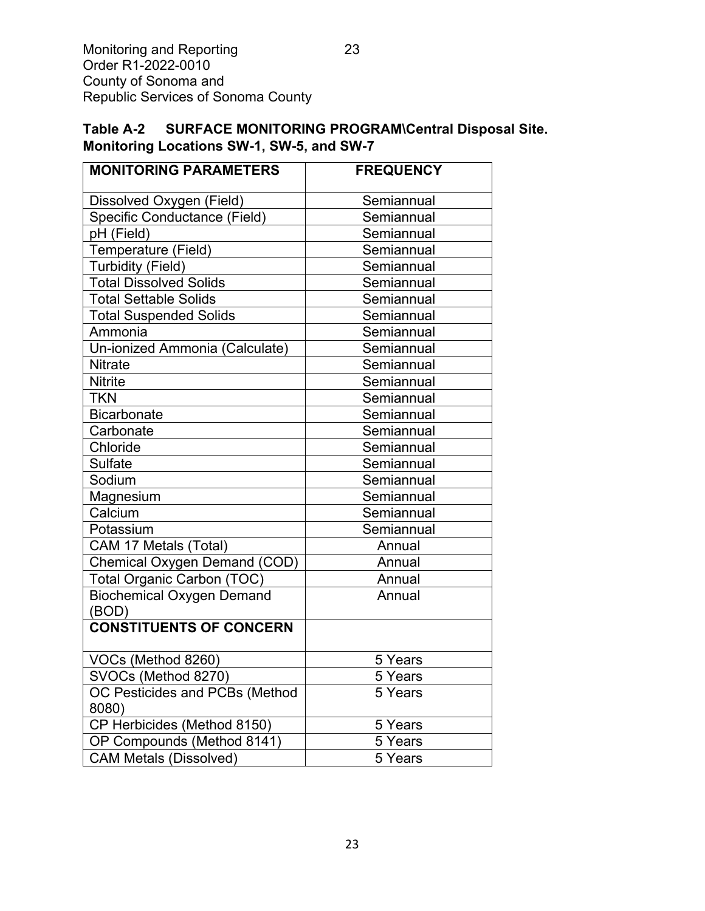## **Table A-2 SURFACE MONITORING PROGRAM\Central Disposal Site. Monitoring Locations SW-1, SW-5, and SW-7**

| <b>MONITORING PARAMETERS</b>              | <b>FREQUENCY</b> |  |
|-------------------------------------------|------------------|--|
| Dissolved Oxygen (Field)                  | Semiannual       |  |
| Specific Conductance (Field)              | Semiannual       |  |
| pH (Field)                                | Semiannual       |  |
| Temperature (Field)                       | Semiannual       |  |
| Turbidity (Field)                         | Semiannual       |  |
| <b>Total Dissolved Solids</b>             | Semiannual       |  |
| <b>Total Settable Solids</b>              | Semiannual       |  |
| <b>Total Suspended Solids</b>             | Semiannual       |  |
| Ammonia                                   | Semiannual       |  |
| Un-ionized Ammonia (Calculate)            | Semiannual       |  |
| <b>Nitrate</b>                            | Semiannual       |  |
| <b>Nitrite</b>                            | Semiannual       |  |
| <b>TKN</b>                                | Semiannual       |  |
| <b>Bicarbonate</b>                        | Semiannual       |  |
| Carbonate                                 | Semiannual       |  |
| Chloride                                  | Semiannual       |  |
| <b>Sulfate</b>                            | Semiannual       |  |
| Sodium                                    | Semiannual       |  |
| Magnesium                                 | Semiannual       |  |
| Calcium                                   | Semiannual       |  |
| Potassium                                 | Semiannual       |  |
| CAM 17 Metals (Total)                     | Annual           |  |
| Chemical Oxygen Demand (COD)              | Annual           |  |
| <b>Total Organic Carbon (TOC)</b>         | Annual           |  |
| <b>Biochemical Oxygen Demand</b><br>(BOD) | Annual           |  |
| <b>CONSTITUENTS OF CONCERN</b>            |                  |  |
| VOCs (Method 8260)                        | 5 Years          |  |
| SVOCs (Method 8270)                       | 5 Years          |  |
| OC Pesticides and PCBs (Method<br>8080)   | 5 Years          |  |
| CP Herbicides (Method 8150)               | 5 Years          |  |
| OP Compounds (Method 8141)                | 5 Years          |  |
| <b>CAM Metals (Dissolved)</b>             | 5 Years          |  |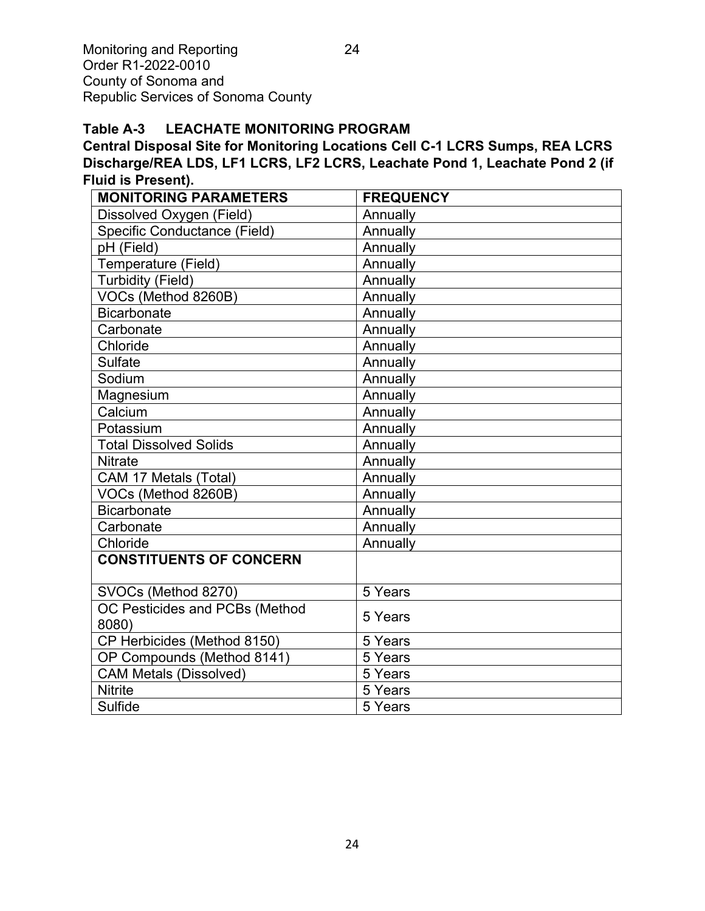#### **Table A-3 LEACHATE MONITORING PROGRAM**

**Central Disposal Site for Monitoring Locations Cell C-1 LCRS Sumps, REA LCRS Discharge/REA LDS, LF1 LCRS, LF2 LCRS, Leachate Pond 1, Leachate Pond 2 (if Fluid is Present).**

| <b>MONITORING PARAMETERS</b>   | <b>FREQUENCY</b> |
|--------------------------------|------------------|
| Dissolved Oxygen (Field)       | Annually         |
| Specific Conductance (Field)   | Annually         |
| pH (Field)                     | Annually         |
|                                |                  |
| Temperature (Field)            | Annually         |
| <b>Turbidity (Field)</b>       | Annually         |
| VOCs (Method 8260B)            | Annually         |
| <b>Bicarbonate</b>             | Annually         |
| Carbonate                      | Annually         |
| Chloride                       | Annually         |
| <b>Sulfate</b>                 | Annually         |
| Sodium                         | Annually         |
| Magnesium                      | Annually         |
| Calcium                        | Annually         |
| Potassium                      | Annually         |
| <b>Total Dissolved Solids</b>  | Annually         |
| <b>Nitrate</b>                 | Annually         |
| CAM 17 Metals (Total)          | Annually         |
| VOCs (Method 8260B)            | Annually         |
| <b>Bicarbonate</b>             | Annually         |
| Carbonate                      | Annually         |
| Chloride                       | Annually         |
| <b>CONSTITUENTS OF CONCERN</b> |                  |
|                                |                  |
| SVOCs (Method 8270)            | 5 Years          |
| OC Pesticides and PCBs (Method |                  |
| 8080)                          | 5 Years          |
| CP Herbicides (Method 8150)    | 5 Years          |
| OP Compounds (Method 8141)     | 5 Years          |
| <b>CAM Metals (Dissolved)</b>  | 5 Years          |
| <b>Nitrite</b>                 | 5 Years          |
| Sulfide                        | 5 Years          |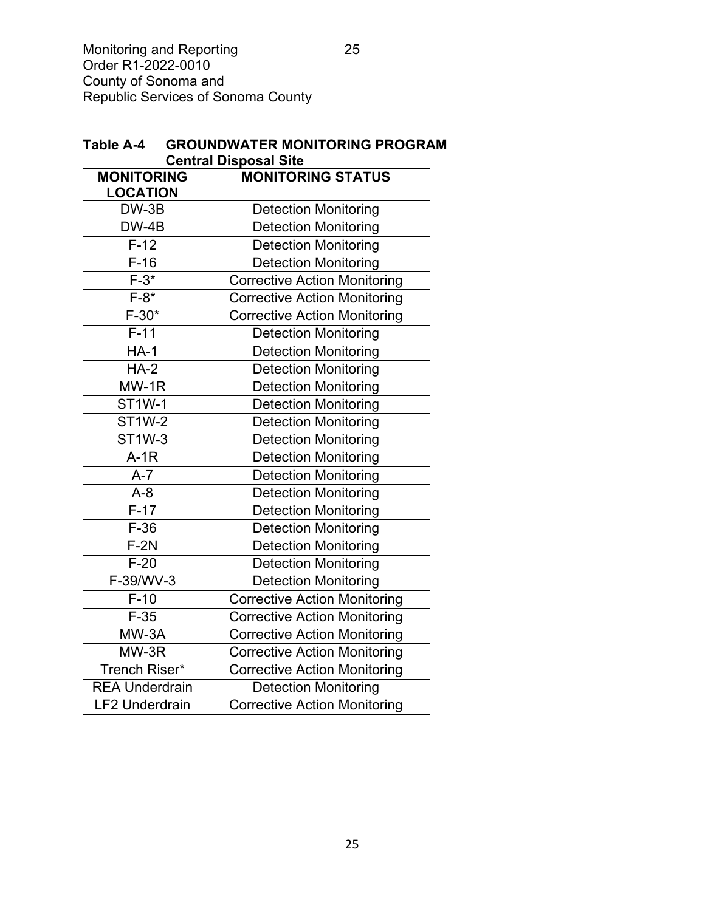| <b>Central Disposal Site</b> |                                     |  |  |  |
|------------------------------|-------------------------------------|--|--|--|
| <b>MONITORING</b>            | <b>MONITORING STATUS</b>            |  |  |  |
| <b>LOCATION</b>              |                                     |  |  |  |
| DW-3B                        | <b>Detection Monitoring</b>         |  |  |  |
| DW-4B                        | <b>Detection Monitoring</b>         |  |  |  |
| $F-12$                       | <b>Detection Monitoring</b>         |  |  |  |
| $F-16$                       | <b>Detection Monitoring</b>         |  |  |  |
| $F-3*$                       | <b>Corrective Action Monitoring</b> |  |  |  |
| $F-8*$                       | <b>Corrective Action Monitoring</b> |  |  |  |
| $F-30*$                      | <b>Corrective Action Monitoring</b> |  |  |  |
| $F-11$                       | <b>Detection Monitoring</b>         |  |  |  |
| $HA-1$                       | <b>Detection Monitoring</b>         |  |  |  |
| $HA-2$                       | <b>Detection Monitoring</b>         |  |  |  |
| $MW-1R$                      | <b>Detection Monitoring</b>         |  |  |  |
| <b>ST1W-1</b>                | <b>Detection Monitoring</b>         |  |  |  |
| <b>ST1W-2</b>                | <b>Detection Monitoring</b>         |  |  |  |
| <b>ST1W-3</b>                | <b>Detection Monitoring</b>         |  |  |  |
| $A-1R$                       | <b>Detection Monitoring</b>         |  |  |  |
| $A - 7$                      | <b>Detection Monitoring</b>         |  |  |  |
| $A-8$                        | <b>Detection Monitoring</b>         |  |  |  |
| $F-17$                       | <b>Detection Monitoring</b>         |  |  |  |
| $F-36$                       | <b>Detection Monitoring</b>         |  |  |  |
| $F-2N$                       | <b>Detection Monitoring</b>         |  |  |  |
| $F-20$                       | <b>Detection Monitoring</b>         |  |  |  |
| F-39/WV-3                    | <b>Detection Monitoring</b>         |  |  |  |
| $F-10$                       | <b>Corrective Action Monitoring</b> |  |  |  |
| $F-35$                       | <b>Corrective Action Monitoring</b> |  |  |  |
| MW-3A                        | <b>Corrective Action Monitoring</b> |  |  |  |
| MW-3R                        | <b>Corrective Action Monitoring</b> |  |  |  |
| Trench Riser*                | <b>Corrective Action Monitoring</b> |  |  |  |
| <b>REA Underdrain</b>        | <b>Detection Monitoring</b>         |  |  |  |
| <b>LF2 Underdrain</b>        | <b>Corrective Action Monitoring</b> |  |  |  |

| Table A-4 | <b>GROUNDWATER MONITORING PROGRAM</b> |
|-----------|---------------------------------------|
|           | <b>Central Disposal Site</b>          |